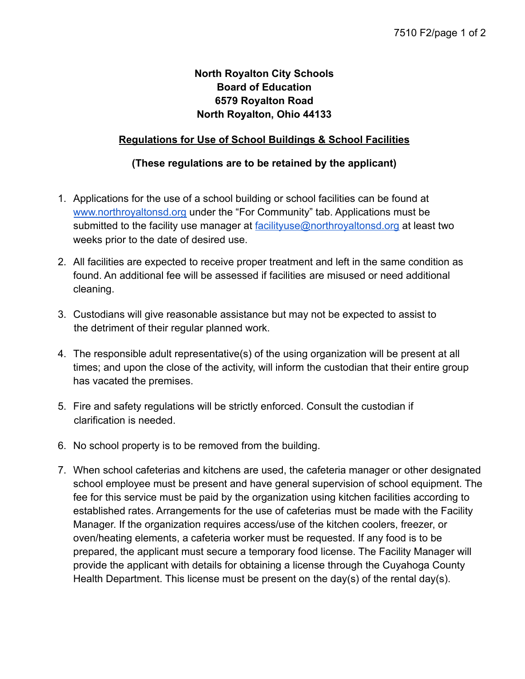## **North Royalton City Schools Board of Education 6579 Royalton Road North Royalton, Ohio 44133**

## **Regulations for Use of School Buildings & School Facilities**

## **(These regulations are to be retained by the applicant)**

- 1. Applications for the use of a school building or school facilities can be found at [www.northroyaltonsd.org](http://www.northroyaltonsd.org) under the "For Community" tab. Applications must be submitted to the facility use manager at [facilityuse@northroyaltonsd.org](mailto:facilityuse@northroyaltonsd.org) at least two weeks prior to the date of desired use.
- 2. All facilities are expected to receive proper treatment and left in the same condition as found. An additional fee will be assessed if facilities are misused or need additional cleaning.
- 3. Custodians will give reasonable assistance but may not be expected to assist to the detriment of their regular planned work.
- 4. The responsible adult representative(s) of the using organization will be present at all times; and upon the close of the activity, will inform the custodian that their entire group has vacated the premises.
- 5. Fire and safety regulations will be strictly enforced. Consult the custodian if clarification is needed.
- 6. No school property is to be removed from the building.
- 7. When school cafeterias and kitchens are used, the cafeteria manager or other designated school employee must be present and have general supervision of school equipment. The fee for this service must be paid by the organization using kitchen facilities according to established rates. Arrangements for the use of cafeterias must be made with the Facility Manager. If the organization requires access/use of the kitchen coolers, freezer, or oven/heating elements, a cafeteria worker must be requested. If any food is to be prepared, the applicant must secure a temporary food license. The Facility Manager will provide the applicant with details for obtaining a license through the Cuyahoga County Health Department. This license must be present on the day(s) of the rental day(s).